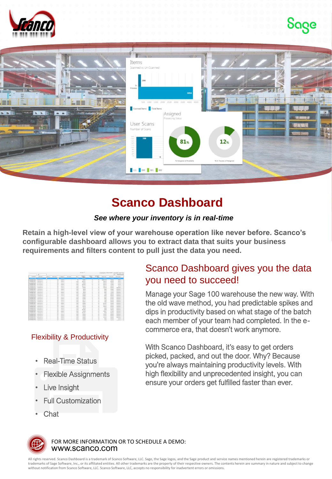





## **Scanco Dashboard**

### *See where your inventory is in real-time*

**Retain a high-level view of your warehouse operation like never before. Scanco's configurable dashboard allows you to extract data that suits your business requirements and filters content to pull just the data you need.**

| will <b>III bushkand</b>   |                          | Load sport Henrican Metal Drafter Stewart and |                                 |                        | M-RevO.TI                      |                |           |                 |          |                          | ×                     |                                |  |  |  |  |
|----------------------------|--------------------------|-----------------------------------------------|---------------------------------|------------------------|--------------------------------|----------------|-----------|-----------------|----------|--------------------------|-----------------------|--------------------------------|--|--|--|--|
| and stad.                  | MAD AVE                  | <b>Mark Thursday</b>                          | <b>MAGNET</b><br><b>Section</b> | <b>SORGE</b><br>$\sim$ | <b>Children</b><br><b>VENT</b> | <b>MOV</b>     | stell and | of antendi      | what art | <b>Subscript</b>         | with exact            | <b>ASSAULT</b>                 |  |  |  |  |
| <b>CONT</b>                | <b>STAR</b>              | <b>SCIT</b>                                   |                                 |                        | $\sim$                         | <b>KOLD</b>    |           | <b>STATE</b>    | ×        | п                        | <b>TERRITORY</b>      | <b>Contract Contract</b>       |  |  |  |  |
| <b>Novel</b>               | TUPSON                   | <b>USOCIAL CEN</b>                            | $\overline{a}$                  | ÷                      | on an                          | $\overline{a}$ |           | mheuri          | ×        | к                        | <b>RAINAN</b>         | analysis of and                |  |  |  |  |
| <b>SUITE</b>               | <b>ATLANT</b>            | <b>ATANYA</b>                                 | $\overline{a}$                  |                        | <b>NSK AFIN</b>                | or's b         |           | mheut           | ı.       | ×                        | <b>SEASTER</b>        | www.dough.com                  |  |  |  |  |
| 4,00.4                     | <b>KIOTAAN</b>           | AMOUNT                                        | ÷                               |                        | <b>GELAN</b>                   | $x^*$ in Eq.   |           | <b>HIGH-ST</b>  | н<br>c.  | $\overline{\phantom{a}}$ | and associated        | work-black wall                |  |  |  |  |
| 1.05.0                     | <b>KOTAN</b>             | <b>GMONTE</b>                                 | $\sim$                          |                        | <b>BOLAYIN</b>                 | $x^*x$         |           | <b>HEAVE</b>    | н        | ۰                        | <b>MIT BIRDAPA</b>    | post-deal and                  |  |  |  |  |
| COTH                       | <b><i>STATISTICS</i></b> | DERD YE                                       | $\sim$<br>                      |                        | <b>BOCA181</b>                 | $+263$         |           | mitteut         | ١e       | ×                        | accessary             | <b><i>productional</i></b> and |  |  |  |  |
| DRIVING                    | <b>BOWE</b>              | <b>SIMPLY</b>                                 | $\overline{a}$                  |                        | DO M P                         | $-243$         |           | mitwell         | ı.<br>÷  | ×                        | <b>SERIOUS</b>        | systemed and                   |  |  |  |  |
| ERBOWOW                    | <b>FRAN</b>              | <b>MAG</b>                                    | ÷                               |                        | me ex-                         | which.         |           | echevil.        | ı.       | n                        | Firm are left and at  | www.dough.com                  |  |  |  |  |
| <b>Justice Tree Circle</b> | <b>ESCARE</b>            | <b>Walt</b>                                   | ÷                               |                        | <b>HOLES</b>                   | wheth.         |           | <b>HIGH-ST</b>  | н        | n                        | <b>GLASSINAPS</b>     | statuted and                   |  |  |  |  |
| 2833009                    | <b>ESCARE</b>            | <b>KWK</b>                                    | $\sim$                          |                        | 100.64                         | 1/43           |           | mitmut          | ×        | n                        | GLESSON A             | expertised and                 |  |  |  |  |
| 1532605                    | <b>BERTARD</b>           | <b>ATMOS</b>                                  | $\overline{a}$<br>              |                        | <b>DELDHO</b>                  | 1263           |           | mheuri          | ı.       | ۰                        | <b>GLESSAN</b>        | productional social            |  |  |  |  |
| ERSDeck                    | <b>RIZING</b>            | <b>ATMT</b>                                   | $\overline{a}$                  |                        | 01.81                          | HOAB           |           | minut           | ı.       | ×                        | nempare               | produkte/2 unit                |  |  |  |  |
| <b>PANTHOTA</b>            | 432946                   | <b>ATMT</b>                                   | $\sim$                          |                        | <b>GOLDAN</b>                  | when           |           | <b>ALCOHOL:</b> | н        | ×                        | members               | www.dougl.com                  |  |  |  |  |
| <b>Julian Treacher</b>     | <b>ATOTANI</b>           | <b>ATMOS</b>                                  | $\rightarrow$                   |                        | <b>GOL MA</b>                  | $x^*x$         |           | <b>ALCOHOL:</b> | н        | n                        | CAR MISSING           | www.douth.com                  |  |  |  |  |
| <b>JANNON</b>              | <b>ANTIME</b>            | <b>ASKE</b>                                   | $\sim$                          |                        | <b>BILTY</b>                   | 1/43           |           | <b>HAND</b>     | ×        | n                        | <b>GARDENS</b>        | experienced work               |  |  |  |  |
| <b>IRBONOV</b>             | <b>ANTIMA</b>            | <b>ATMOS</b>                                  | $\overline{a}$                  |                        | DO AV                          | 1263           |           | mitmuti         | ı.       | н                        | MERIDAN               | exampled and                   |  |  |  |  |
| ERSDeCH                    | DOM:                     | MIDSK                                         | ۰.<br>$\overline{a}$<br>÷       |                        | 00.03                          | ×38            |           | mheut           | ı.       | ×                        | MERIDATE              | potubac) vel                   |  |  |  |  |
| <b><i>PASSAGE</i></b>      | ENTANY                   | <b>ASTRON</b>                                 | ÷                               |                        | <b>BOLD'S</b>                  | when           |           | <b>HARACE</b>   | ı.       | ٠                        | <b>Bulletin Art A</b> | www.dough.unde                 |  |  |  |  |
| <b>Julia Trache</b>        | <b>ATACAM</b>            | ENVIR                                         | $\sim$                          |                        | <b>BOX 513</b>                 | $x^2 + 3$      |           | <b>HEAVE</b>    | н        | n                        | <b>ALCOHOL</b>        | experience and                 |  |  |  |  |
| 3830605                    | <b>AUCURE</b>            | 03/2                                          | $\overline{a}$                  |                        | <b>DOAR</b>                    | $-263$         |           | <b>HEAVE</b>    | ×        | ×                        | <b>Johnson</b>        | post-back usin                 |  |  |  |  |
| 1532609                    | <b>ATACAAS</b>           | <b>ATMA</b>                                   | $\overline{a}$                  |                        | <b>BOX FITN</b>                | $n \geq 3$     |           | mitmut          | ı.       | n                        | <b>MARGATE</b>        | exampled and                   |  |  |  |  |
| DRIVING                    | \$17,500                 | <b>DOM:1</b>                                  | $\overline{a}$                  |                        | 010.005                        | $^{+2+1}$      |           | mitwell         | ı.       | ×                        | <b>Jedimbury</b>      | potubac) vel                   |  |  |  |  |
| Indianamie                 | anticipis.               | <b>With</b>                                   | $\sim$                          |                        | note if who                    | wheth.         |           | <b>ALCOHOL:</b> | ı.       | $\overline{\phantom{a}}$ | <b>Fakershann</b>     | www.douth.com                  |  |  |  |  |
| <b>Julia TrayOff</b>       | <b><i>ATCAM</i></b>      | Tarikia                                       | $\sim$                          |                        | <b>BOLEN</b>                   | 1000           |           | <b>ALCOHOL:</b> | н        | π                        | <b>BARROAD</b>        | expertised and                 |  |  |  |  |
| 2832605                    | <b>RICAS</b>             | tarase                                        | $\overline{a}$                  |                        | pro sta.                       | <b>Kid</b>     |           | mitmut          | ×        | ×                        | <b>GLESSAN</b>        | expertised and                 |  |  |  |  |
| 2532609                    | 830'300                  | tararar                                       | $\sim$                          |                        | 010.004                        | $-243$         |           | mheur           | ı.       | ×                        | mampure               | work double and                |  |  |  |  |
| <b>SUZE</b>                | <b>ARTISTS</b>           | <b>Stat</b>                                   | $\overline{a}$                  |                        | 010 836                        | 1361           |           | mitmut          | ı.       | ×                        | <b>STEETO AT C</b>    | excluding) ext/                |  |  |  |  |
|                            |                          |                                               |                                 |                        |                                |                |           |                 |          |                          |                       |                                |  |  |  |  |

### Flexibility & Productivity

- Real-Time Status
- Flexible Assignments
- **Live Insight**
- Full Customization
- Chat

### Scanco Dashboard gives you the data you need to succeed!

Manage your Sage 100 warehouse the new way. With the old wave method, you had predictable spikes and dips in productivity based on what stage of the batch each member of your team had completed. In the ecommerce era, that doesn't work anymore.

With Scanco Dashboard, it's easy to get orders picked, packed, and out the door. Why? Because you're always maintaining productivity levels. With high flexibility and unprecedented insight, you can ensure your orders get fulfilled faster than ever.



www.scanco.com FOR MORE INFORMATION OR TO SCHEDULE A DEMO:

All rights reserved. Scanco Dashboard is a trademark of Scanco Software, LLC. Sage, the Sage Jogos, and the Sage product and service names mentioned herein are registered trademarks or<br>trademarks of Sage Software, Inc., or without notification from Scanco Software, LLC. Scanco Software, LLC, accepts no responsibility for inadvertent errors or omissions.